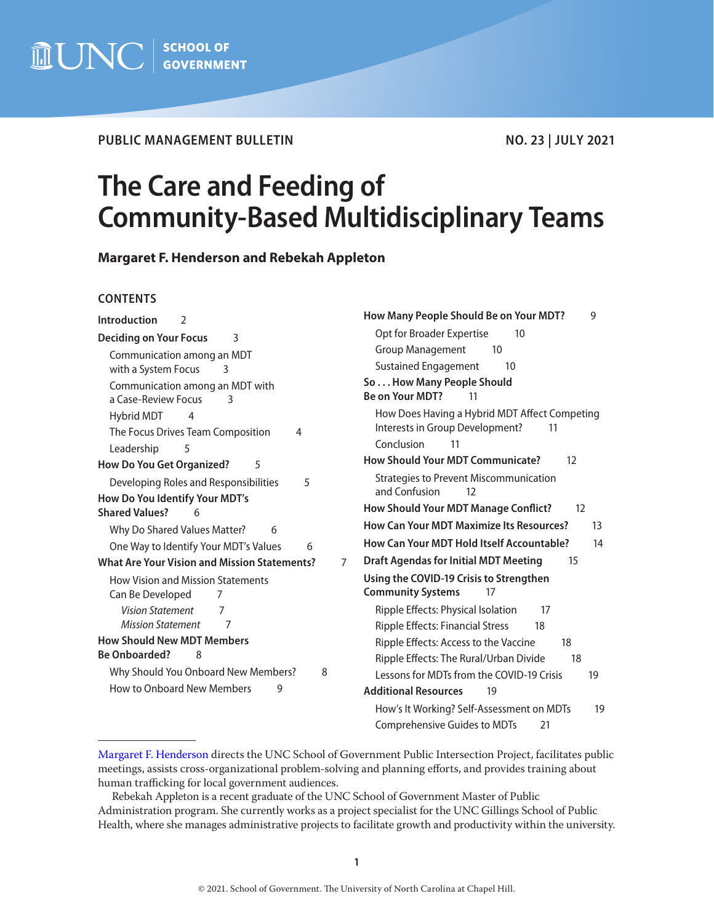

**PUBLIC MANAGEMENT BULLETIN** NO. 23 | JULY 2021

# **The Care and Feeding of Community-Based Multidisciplinary Teams**

**Margaret F. Henderson and Rebekah Appleton**

#### **CONTENTS**

| <b>Introduction</b>                                          | How Many People Should Be on Your MDT?                               |
|--------------------------------------------------------------|----------------------------------------------------------------------|
| $\mathcal{P}$                                                | 9                                                                    |
| <b>Deciding on Your Focus</b>                                | Opt for Broader Expertise                                            |
| 3                                                            | 10                                                                   |
| Communication among an MDT                                   | <b>Group Management</b><br>10                                        |
| with a System Focus                                          | <b>Sustained Engagement</b>                                          |
| 3                                                            | 10                                                                   |
| Communication among an MDT with                              | So How Many People Should                                            |
| a Case-Review Focus                                          | Be on Your MDT?                                                      |
| 3                                                            | 11                                                                   |
| Hybrid MDT<br>4                                              | How Does Having a Hybrid MDT Affect Competing                        |
| The Focus Drives Team Composition                            | Interests in Group Development?                                      |
| 4                                                            | 11                                                                   |
| Leadership                                                   | Conclusion                                                           |
| 5                                                            | 11                                                                   |
| <b>How Do You Get Organized?</b>                             | <b>How Should Your MDT Communicate?</b>                              |
| 5                                                            | 12                                                                   |
| Developing Roles and Responsibilities<br>5                   | <b>Strategies to Prevent Miscommunication</b><br>and Confusion<br>12 |
| How Do You Identify Your MDT's<br><b>Shared Values?</b><br>6 | <b>How Should Your MDT Manage Conflict?</b><br>$12 \overline{ }$     |
| Why Do Shared Values Matter?                                 | <b>How Can Your MDT Maximize Its Resources?</b>                      |
| 6                                                            | 13                                                                   |
| One Way to Identify Your MDT's Values                        | How Can Your MDT Hold Itself Accountable?                            |
| 6                                                            | 14                                                                   |
| <b>What Are Your Vision and Mission Statements?</b>          | <b>Draft Agendas for Initial MDT Meeting</b>                         |
| $\overline{7}$                                               | 15                                                                   |
| <b>How Vision and Mission Statements</b>                     | Using the COVID-19 Crisis to Strengthen                              |
| Can Be Developed                                             | <b>Community Systems</b>                                             |
| 7                                                            | 17                                                                   |
| <b>Vision Statement</b>                                      | Ripple Effects: Physical Isolation                                   |
| 7                                                            | 17                                                                   |
| <b>Mission Statement</b>                                     | <b>Ripple Effects: Financial Stress</b>                              |
| 7                                                            | 18                                                                   |
| <b>How Should New MDT Members</b>                            | Ripple Effects: Access to the Vaccine<br>18                          |
| <b>Be Onboarded?</b>                                         | Ripple Effects: The Rural/Urban Divide                               |
| 8                                                            | 18                                                                   |
| Why Should You Onboard New Members?                          | Lessons for MDTs from the COVID-19 Crisis                            |
| 8                                                            | 19                                                                   |
| <b>How to Onboard New Members</b>                            | <b>Additional Resources</b>                                          |
| 9                                                            | 19                                                                   |
|                                                              | How's It Working? Self-Assessment on MDTs<br>19                      |
|                                                              | <b>Comprehensive Guides to MDTs</b><br>21                            |

[Margaret F. Henderson](https://www.sog.unc.edu/about/faculty-and-staff/margaret-f-henderson) directs the UNC School of Government Public Intersection Project, facilitates public meetings, assists cross-organizational problem-solving and planning efforts, and provides training about human trafficking for local government audiences.

Rebekah Appleton is a recent graduate of the UNC School of Government Master of Public Administration program. She currently works as a project specialist for the UNC Gillings School of Public Health, where she manages administrative projects to facilitate growth and productivity within the university.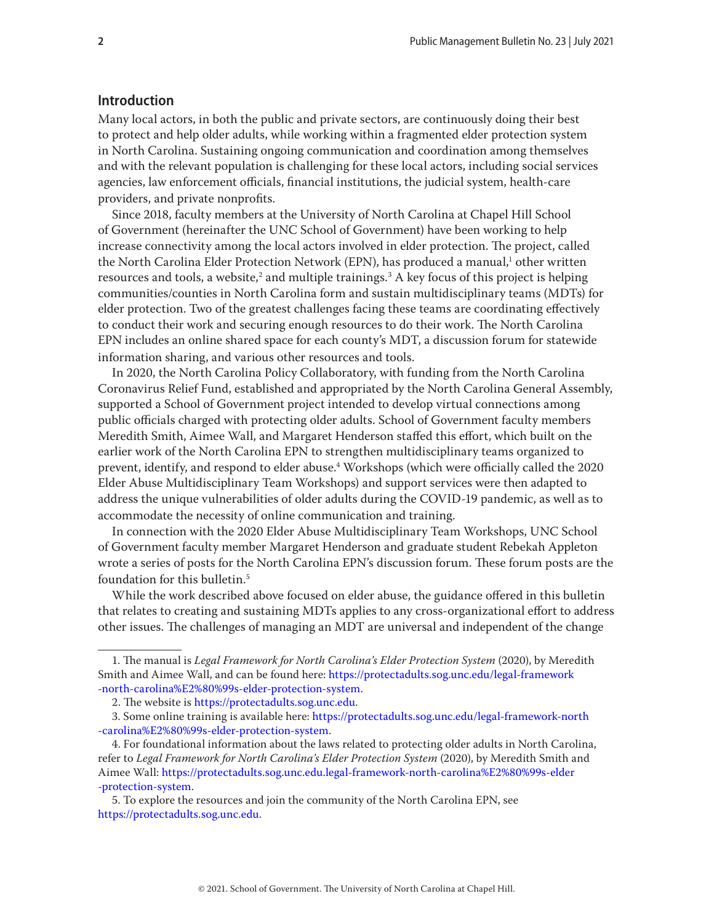## <span id="page-1-0"></span>**Introduction**

Many local actors, in both the public and private sectors, are continuously doing their best to protect and help older adults, while working within a fragmented elder protection system in North Carolina. Sustaining ongoing communication and coordination among themselves and with the relevant population is challenging for these local actors, including social services agencies, law enforcement officials, financial institutions, the judicial system, health-care providers, and private nonprofits.

Since 2018, faculty members at the University of North Carolina at Chapel Hill School of Government (hereinafter the UNC School of Government) have been working to help increase connectivity among the local actors involved in elder protection. The project, called the North Carolina Elder Protection Network (EPN), has produced a manual,<sup>1</sup> other written resources and tools, a website, $^2$  and multiple trainings. $^3$  A key focus of this project is helping communities/counties in North Carolina form and sustain multidisciplinary teams (MDTs) for elder protection. Two of the greatest challenges facing these teams are coordinating effectively to conduct their work and securing enough resources to do their work. The North Carolina EPN includes an online shared space for each county's MDT, a discussion forum for statewide information sharing, and various other resources and tools.

In 2020, the North Carolina Policy Collaboratory, with funding from the North Carolina Coronavirus Relief Fund, established and appropriated by the North Carolina General Assembly, supported a School of Government project intended to develop virtual connections among public officials charged with protecting older adults. School of Government faculty members Meredith Smith, Aimee Wall, and Margaret Henderson staffed this effort, which built on the earlier work of the North Carolina EPN to strengthen multidisciplinary teams organized to prevent, identify, and respond to elder abuse.4 Workshops (which were officially called the 2020 Elder Abuse Multidisciplinary Team Workshops) and support services were then adapted to address the unique vulnerabilities of older adults during the COVID-19 pandemic, as well as to accommodate the necessity of online communication and training.

In connection with the 2020 Elder Abuse Multidisciplinary Team Workshops, UNC School of Government faculty member Margaret Henderson and graduate student Rebekah Appleton wrote a series of posts for the North Carolina EPN's discussion forum. These forum posts are the foundation for this bulletin.5

While the work described above focused on elder abuse, the guidance offered in this bulletin that relates to creating and sustaining MDTs applies to any cross-organizational effort to address other issues. The challenges of managing an MDT are universal and independent of the change

<sup>1.</sup> The manual is *Legal Framework for North Carolina's Elder Protection System* (2020), by Meredith Smith and Aimee Wall, and can be found here: [https://protectadults.sog.unc.edu/legal-framework](https://protectadults.sog.unc.edu/legal-framework-north-carolina%E2%80%99s-elder-protection-system) [-north-carolina%E2%80%99s-elder-protection-system](https://protectadults.sog.unc.edu/legal-framework-north-carolina%E2%80%99s-elder-protection-system).

<sup>2.</sup> The website is https:/[/protectadults.sog.unc.edu.](http://protectadults.sog.unc.edu)

<sup>3.</sup> Some online training is available here: [https://protectadults.sog.unc.edu/legal-framework-north](https://protectadults.sog.unc.edu/legal-framework-north-carolina%E2%80%99s-elder-protection-system) [-carolina%E2%80%99s-elder-protection-system.](https://protectadults.sog.unc.edu/legal-framework-north-carolina%E2%80%99s-elder-protection-system)

<sup>4.</sup> For foundational information about the laws related to protecting older adults in North Carolina, refer to *Legal Framework for North Carolina's Elder Protection System* (2020), by Meredith Smith and Aimee Wall: [https://protectadults.sog.unc.edu.legal-framework-north-carolina%E2%80%99s-elder](https://protectadults.sog.unc.edu/legal-framework-north-carolina%E2%80%99s-elder-protection-system) [-protection-system](https://protectadults.sog.unc.edu/legal-framework-north-carolina%E2%80%99s-elder-protection-system).

<sup>5.</sup> To explore the resources and join the community of the North Carolina EPN, see <https://protectadults.sog.unc.edu>.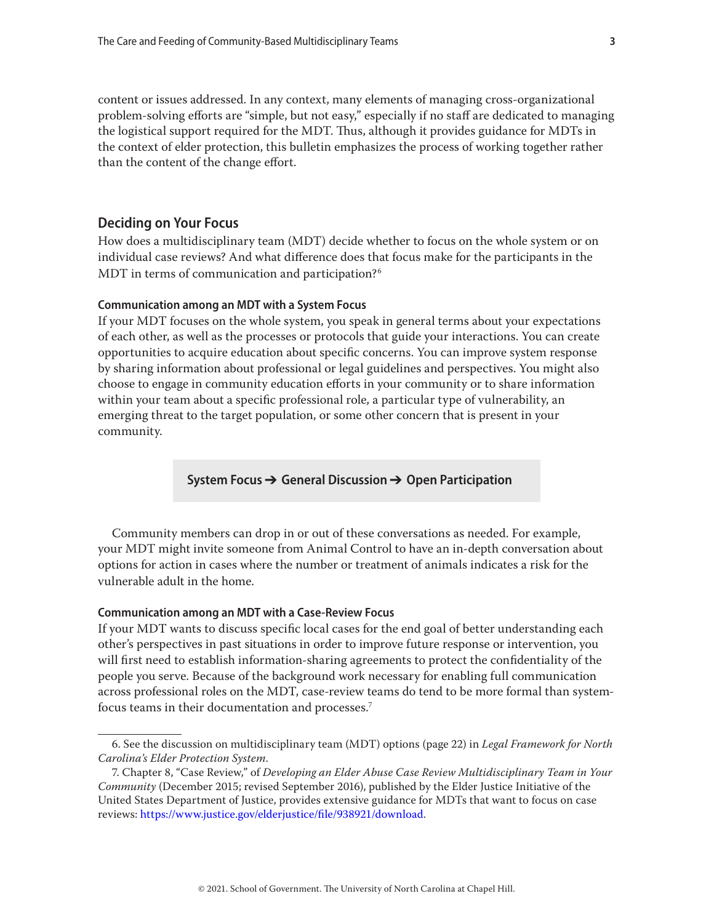<span id="page-2-0"></span>content or issues addressed. In any context, many elements of managing cross-organizational problem-solving efforts are "simple, but not easy," especially if no staff are dedicated to managing the logistical support required for the MDT. Thus, although it provides guidance for MDTs in the context of elder protection, this bulletin emphasizes the process of working together rather than the content of the change effort.

## **Deciding on Your Focus**

How does a multidisciplinary team (MDT) decide whether to focus on the whole system or on individual case reviews? And what difference does that focus make for the participants in the MDT in terms of communication and participation?<sup>6</sup>

#### **Communication among an MDT with a System Focus**

If your MDT focuses on the whole system, you speak in general terms about your expectations of each other, as well as the processes or protocols that guide your interactions. You can create opportunities to acquire education about specific concerns. You can improve system response by sharing information about professional or legal guidelines and perspectives. You might also choose to engage in community education efforts in your community or to share information within your team about a specific professional role, a particular type of vulnerability, an emerging threat to the target population, or some other concern that is present in your community.

**System Focus** → **General Discussion** → **Open Participation**

Community members can drop in or out of these conversations as needed. For example, your MDT might invite someone from Animal Control to have an in-depth conversation about options for action in cases where the number or treatment of animals indicates a risk for the vulnerable adult in the home.

#### **Communication among an MDT with a Case-Review Focus**

If your MDT wants to discuss specific local cases for the end goal of better understanding each other's perspectives in past situations in order to improve future response or intervention, you will first need to establish information-sharing agreements to protect the confidentiality of the people you serve. Because of the background work necessary for enabling full communication across professional roles on the MDT, case-review teams do tend to be more formal than systemfocus teams in their documentation and processes.7

<sup>6.</sup> See the discussion on multidisciplinary team (MDT) options (page 22) in *Legal Framework for North Carolina's Elder Protection System*.

<sup>7.</sup> Chapter 8, "Case Review," of *Developing an Elder Abuse Case Review Multidisciplinary Team in Your Community* (December 2015; revised September 2016), published by the Elder Justice Initiative of the United States Department of Justice, provides extensive guidance for MDTs that want to focus on case reviews:<https://www.justice.gov/elderjustice/file/938921/download>.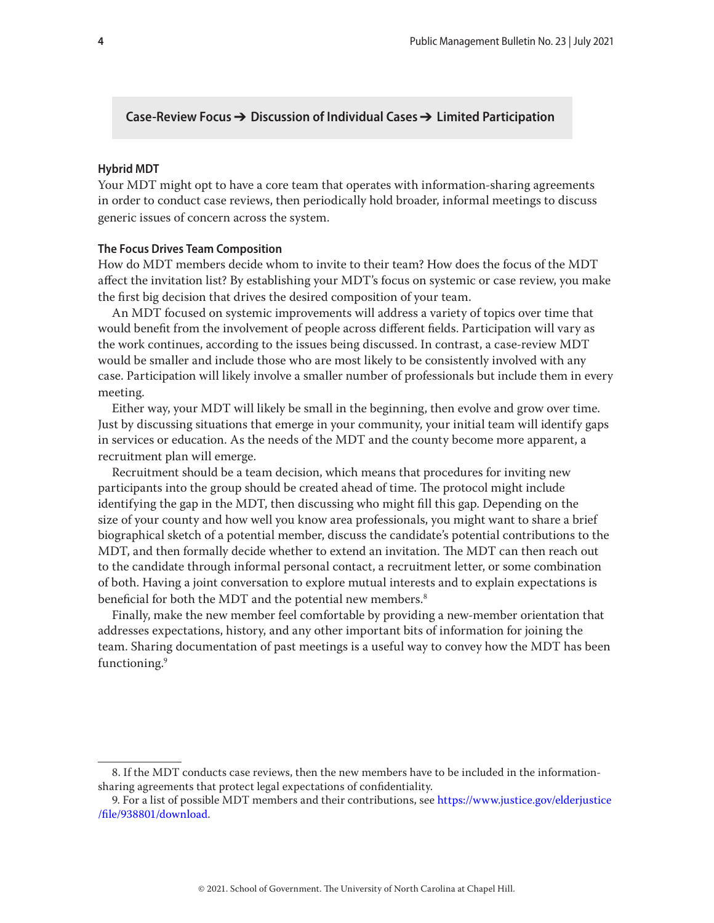## <span id="page-3-0"></span>**Case-Review Focus** → **Discussion of Individual Cases** → **Limited Participation**

#### **Hybrid MDT**

Your MDT might opt to have a core team that operates with information-sharing agreements in order to conduct case reviews, then periodically hold broader, informal meetings to discuss generic issues of concern across the system.

#### **The Focus Drives Team Composition**

How do MDT members decide whom to invite to their team? How does the focus of the MDT affect the invitation list? By establishing your MDT's focus on systemic or case review, you make the first big decision that drives the desired composition of your team.

An MDT focused on systemic improvements will address a variety of topics over time that would benefit from the involvement of people across different fields. Participation will vary as the work continues, according to the issues being discussed. In contrast, a case-review MDT would be smaller and include those who are most likely to be consistently involved with any case. Participation will likely involve a smaller number of professionals but include them in every meeting.

Either way, your MDT will likely be small in the beginning, then evolve and grow over time. Just by discussing situations that emerge in your community, your initial team will identify gaps in services or education. As the needs of the MDT and the county become more apparent, a recruitment plan will emerge.

Recruitment should be a team decision, which means that procedures for inviting new participants into the group should be created ahead of time. The protocol might include identifying the gap in the MDT, then discussing who might fill this gap. Depending on the size of your county and how well you know area professionals, you might want to share a brief biographical sketch of a potential member, discuss the candidate's potential contributions to the MDT, and then formally decide whether to extend an invitation. The MDT can then reach out to the candidate through informal personal contact, a recruitment letter, or some combination of both. Having a joint conversation to explore mutual interests and to explain expectations is beneficial for both the MDT and the potential new members.<sup>8</sup>

Finally, make the new member feel comfortable by providing a new-member orientation that addresses expectations, history, and any other important bits of information for joining the team. Sharing documentation of past meetings is a useful way to convey how the MDT has been functioning.9

<sup>8.</sup> If the MDT conducts case reviews, then the new members have to be included in the informationsharing agreements that protect legal expectations of confidentiality.

<sup>9.</sup> For a list of possible MDT members and their contributions, see [https://www.justice.gov/elderjustice](https://www.justice.gov/elderjustice/file/938801/download) [/file/938801/download](https://www.justice.gov/elderjustice/file/938801/download).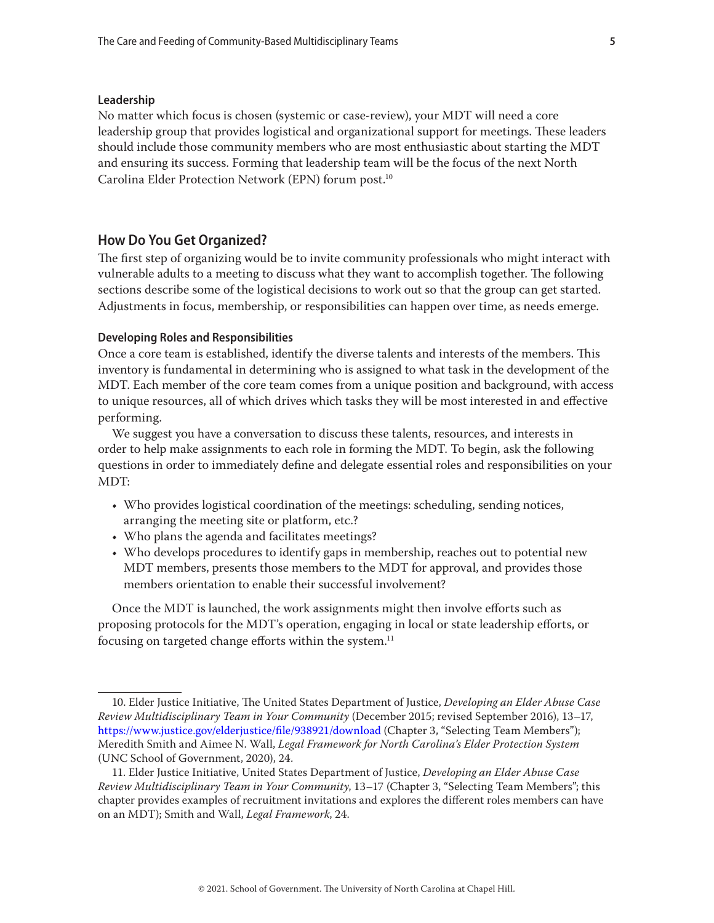#### <span id="page-4-0"></span>**Leadership**

No matter which focus is chosen (systemic or case-review), your MDT will need a core leadership group that provides logistical and organizational support for meetings. These leaders should include those community members who are most enthusiastic about starting the MDT and ensuring its success. Forming that leadership team will be the focus of the next North Carolina Elder Protection Network (EPN) forum post.10

## **How Do You Get Organized?**

The first step of organizing would be to invite community professionals who might interact with vulnerable adults to a meeting to discuss what they want to accomplish together. The following sections describe some of the logistical decisions to work out so that the group can get started. Adjustments in focus, membership, or responsibilities can happen over time, as needs emerge.

#### **Developing Roles and Responsibilities**

Once a core team is established, identify the diverse talents and interests of the members. This inventory is fundamental in determining who is assigned to what task in the development of the MDT. Each member of the core team comes from a unique position and background, with access to unique resources, all of which drives which tasks they will be most interested in and effective performing.

We suggest you have a conversation to discuss these talents, resources, and interests in order to help make assignments to each role in forming the MDT. To begin, ask the following questions in order to immediately define and delegate essential roles and responsibilities on your MDT:

- Who provides logistical coordination of the meetings: scheduling, sending notices, arranging the meeting site or platform, etc.?
- Who plans the agenda and facilitates meetings?
- Who develops procedures to identify gaps in membership, reaches out to potential new MDT members, presents those members to the MDT for approval, and provides those members orientation to enable their successful involvement?

Once the MDT is launched, the work assignments might then involve efforts such as proposing protocols for the MDT's operation, engaging in local or state leadership efforts, or focusing on targeted change efforts within the system.<sup>11</sup>

<sup>10.</sup> Elder Justice Initiative, The United States Department of Justice, *Developing an Elder Abuse Case Review Multidisciplinary Team in Your Community* (December 2015; revised September 2016), 13–17, <https://www.justice.gov/elderjustice/file/938921/download>(Chapter 3, "Selecting Team Members"); Meredith Smith and Aimee N. Wall, *Legal Framework for North Carolina's Elder Protection System* (UNC School of Government, 2020), 24.

<sup>11.</sup> Elder Justice Initiative, United States Department of Justice, *Developing an Elder Abuse Case Review Multidisciplinary Team in Your Community*, 13–17 (Chapter 3, "Selecting Team Members"; this chapter provides examples of recruitment invitations and explores the different roles members can have on an MDT); Smith and Wall, *Legal Framework*, 24.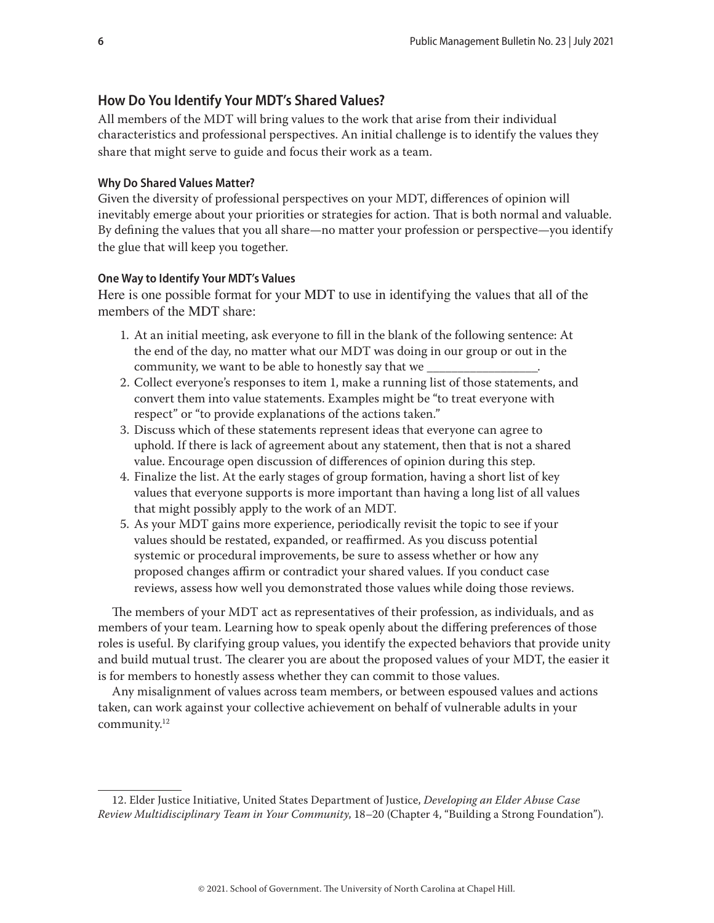# <span id="page-5-0"></span>**How Do You Identify Your MDT's Shared Values?**

All members of the MDT will bring values to the work that arise from their individual characteristics and professional perspectives. An initial challenge is to identify the values they share that might serve to guide and focus their work as a team.

## **Why Do Shared Values Matter?**

Given the diversity of professional perspectives on your MDT, differences of opinion will inevitably emerge about your priorities or strategies for action. That is both normal and valuable. By defining the values that you all share—no matter your profession or perspective—you identify the glue that will keep you together.

## **One Way to Identify Your MDT's Values**

Here is one possible format for your MDT to use in identifying the values that all of the members of the MDT share:

- 1. At an initial meeting, ask everyone to fill in the blank of the following sentence: At the end of the day, no matter what our MDT was doing in our group or out in the community, we want to be able to honestly say that we
- 2. Collect everyone's responses to item 1, make a running list of those statements, and convert them into value statements. Examples might be "to treat everyone with respect" or "to provide explanations of the actions taken."
- 3. Discuss which of these statements represent ideas that everyone can agree to uphold. If there is lack of agreement about any statement, then that is not a shared value. Encourage open discussion of differences of opinion during this step.
- 4. Finalize the list. At the early stages of group formation, having a short list of key values that everyone supports is more important than having a long list of all values that might possibly apply to the work of an MDT.
- 5. As your MDT gains more experience, periodically revisit the topic to see if your values should be restated, expanded, or reaffirmed. As you discuss potential systemic or procedural improvements, be sure to assess whether or how any proposed changes affirm or contradict your shared values. If you conduct case reviews, assess how well you demonstrated those values while doing those reviews.

The members of your MDT act as representatives of their profession, as individuals, and as members of your team. Learning how to speak openly about the differing preferences of those roles is useful. By clarifying group values, you identify the expected behaviors that provide unity and build mutual trust. The clearer you are about the proposed values of your MDT, the easier it is for members to honestly assess whether they can commit to those values.

Any misalignment of values across team members, or between espoused values and actions taken, can work against your collective achievement on behalf of vulnerable adults in your community.12

<sup>12.</sup> Elder Justice Initiative, United States Department of Justice, *Developing an Elder Abuse Case Review Multidisciplinary Team in Your Community*, 18–20 (Chapter 4, "Building a Strong Foundation").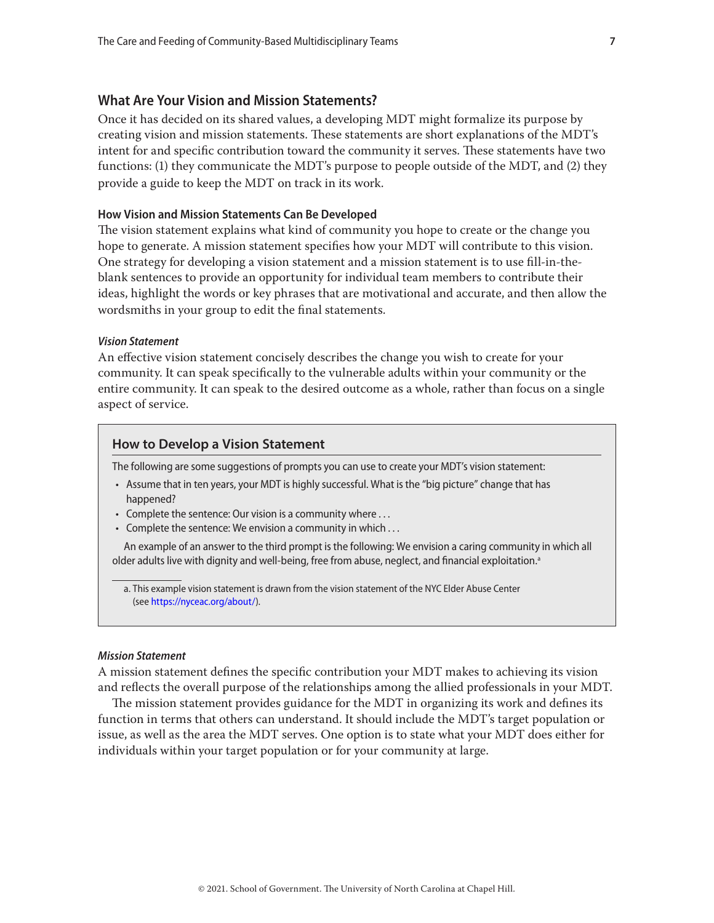## <span id="page-6-0"></span>**What Are Your Vision and Mission Statements?**

Once it has decided on its shared values, a developing MDT might formalize its purpose by creating vision and mission statements. These statements are short explanations of the MDT's intent for and specific contribution toward the community it serves. These statements have two functions: (1) they communicate the MDT's purpose to people outside of the MDT, and (2) they provide a guide to keep the MDT on track in its work.

## **How Vision and Mission Statements Can Be Developed**

The vision statement explains what kind of community you hope to create or the change you hope to generate. A mission statement specifies how your MDT will contribute to this vision. One strategy for developing a vision statement and a mission statement is to use fill-in-theblank sentences to provide an opportunity for individual team members to contribute their ideas, highlight the words or key phrases that are motivational and accurate, and then allow the wordsmiths in your group to edit the final statements.

#### *Vision Statement*

An effective vision statement concisely describes the change you wish to create for your community. It can speak specifically to the vulnerable adults within your community or the entire community. It can speak to the desired outcome as a whole, rather than focus on a single aspect of service.

#### **How to Develop a Vision Statement**

The following are some suggestions of prompts you can use to create your MDT's vision statement:

- Assume that in ten years, your MDT is highly successful. What is the "big picture" change that has happened?
- Complete the sentence: Our vision is a community where . . .
- Complete the sentence: We envision a community in which . . .

An example of an answer to the third prompt is the following: We envision a caring community in which all older adults live with dignity and well-being, free from abuse, neglect, and financial exploitation.<sup>a</sup>

a. This example vision statement is drawn from the vision statement of the NYC Elder Abuse Center (see <https://nyceac.org/about/>).

#### *Mission Statement*

A mission statement defines the specific contribution your MDT makes to achieving its vision and reflects the overall purpose of the relationships among the allied professionals in your MDT.

The mission statement provides guidance for the MDT in organizing its work and defines its function in terms that others can understand. It should include the MDT's target population or issue, as well as the area the MDT serves. One option is to state what your MDT does either for individuals within your target population or for your community at large.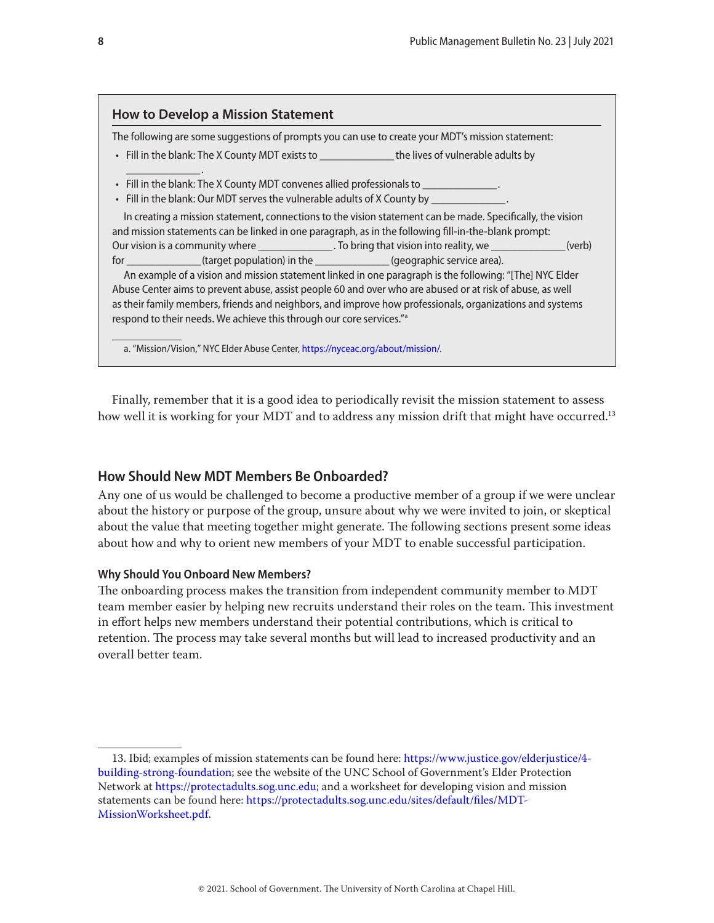# <span id="page-7-0"></span>**How to Develop a Mission Statement**

\_\_\_\_\_\_\_\_\_\_\_\_\_ .

The following are some suggestions of prompts you can use to create your MDT's mission statement:

- Fill in the blank: The X County MDT exists to \_\_\_\_\_\_\_\_\_\_\_\_\_ the lives of vulnerable adults by
- Fill in the blank: The X County MDT convenes allied professionals to
- Fill in the blank: Our MDT serves the vulnerable adults of X County by \_\_\_\_

In creating a mission statement, connections to the vision statement can be made. Specifically, the vision and mission statements can be linked in one paragraph, as in the following fill-in-the-blank prompt: Our vision is a community where \_\_\_\_\_\_\_\_\_\_\_\_\_\_. To bring that vision into reality, we \_\_\_\_\_\_\_\_\_\_\_\_\_(verb) for the target population) in the the comparable service area).

An example of a vision and mission statement linked in one paragraph is the following: "[The] NYC Elder Abuse Center aims to prevent abuse, assist people 60 and over who are abused or at risk of abuse, as well as their family members, friends and neighbors, and improve how professionals, organizations and systems respond to their needs. We achieve this through our core services."a

a. "Mission/Vision," NYC Elder Abuse Center,<https://nyceac.org/about/mission/>.

Finally, remember that it is a good idea to periodically revisit the mission statement to assess how well it is working for your MDT and to address any mission drift that might have occurred.<sup>13</sup>

# **How Should New MDT Members Be Onboarded?**

Any one of us would be challenged to become a productive member of a group if we were unclear about the history or purpose of the group, unsure about why we were invited to join, or skeptical about the value that meeting together might generate. The following sections present some ideas about how and why to orient new members of your MDT to enable successful participation.

## **Why Should You Onboard New Members?**

The onboarding process makes the transition from independent community member to MDT team member easier by helping new recruits understand their roles on the team. This investment in effort helps new members understand their potential contributions, which is critical to retention. The process may take several months but will lead to increased productivity and an overall better team.

<sup>13.</sup> Ibid; examples of mission statements can be found here: [https://www.justice.gov/elderjustice/4](https://www.justice.gov/elderjustice/4-building-strong-foundation) [building-strong-foundation;](https://www.justice.gov/elderjustice/4-building-strong-foundation) see the website of the UNC School of Government's Elder Protection Network at<https://protectadults.sog.unc.edu>; and a worksheet for developing vision and mission statements can be found here: [https://protectadults.sog.unc.edu/sites/default/files/MDT-](https://protectadults.sog.unc.edu/sites/default/files/MDT-MissionWorksheet.pdf)[MissionWorksheet.pdf.](https://protectadults.sog.unc.edu/sites/default/files/MDT-MissionWorksheet.pdf)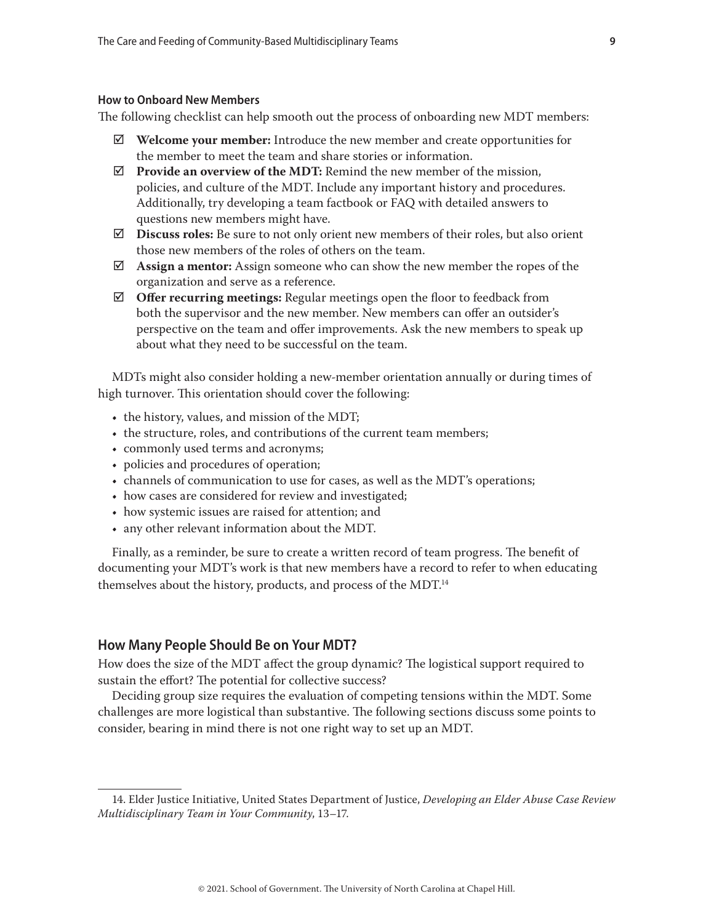## <span id="page-8-0"></span>**How to Onboard New Members**

The following checklist can help smooth out the process of onboarding new MDT members:

- $\boxtimes$  **Welcome your member:** Introduce the new member and create opportunities for the member to meet the team and share stories or information.
- $\triangledown$  **Provide an overview of the MDT:** Remind the new member of the mission, policies, and culture of the MDT. Include any important history and procedures. Additionally, try developing a team factbook or FAQ with detailed answers to questions new members might have.
- $\boxtimes$  **Discuss roles:** Be sure to not only orient new members of their roles, but also orient those new members of the roles of others on the team.
- þ **Assign a mentor:** Assign someone who can show the new member the ropes of the organization and serve as a reference.
- $\boxtimes$  **Offer recurring meetings:** Regular meetings open the floor to feedback from both the supervisor and the new member. New members can offer an outsider's perspective on the team and offer improvements. Ask the new members to speak up about what they need to be successful on the team.

MDTs might also consider holding a new-member orientation annually or during times of high turnover. This orientation should cover the following:

- the history, values, and mission of the MDT;
- the structure, roles, and contributions of the current team members;
- commonly used terms and acronyms;
- policies and procedures of operation;
- channels of communication to use for cases, as well as the MDT's operations;
- how cases are considered for review and investigated;
- how systemic issues are raised for attention; and
- any other relevant information about the MDT.

Finally, as a reminder, be sure to create a written record of team progress. The benefit of documenting your MDT's work is that new members have a record to refer to when educating themselves about the history, products, and process of the MDT.<sup>14</sup>

#### **How Many People Should Be on Your MDT?**

How does the size of the MDT affect the group dynamic? The logistical support required to sustain the effort? The potential for collective success?

Deciding group size requires the evaluation of competing tensions within the MDT. Some challenges are more logistical than substantive. The following sections discuss some points to consider, bearing in mind there is not one right way to set up an MDT.

<sup>14.</sup> Elder Justice Initiative, United States Department of Justice, *Developing an Elder Abuse Case Review Multidisciplinary Team in Your Community*, 13–17.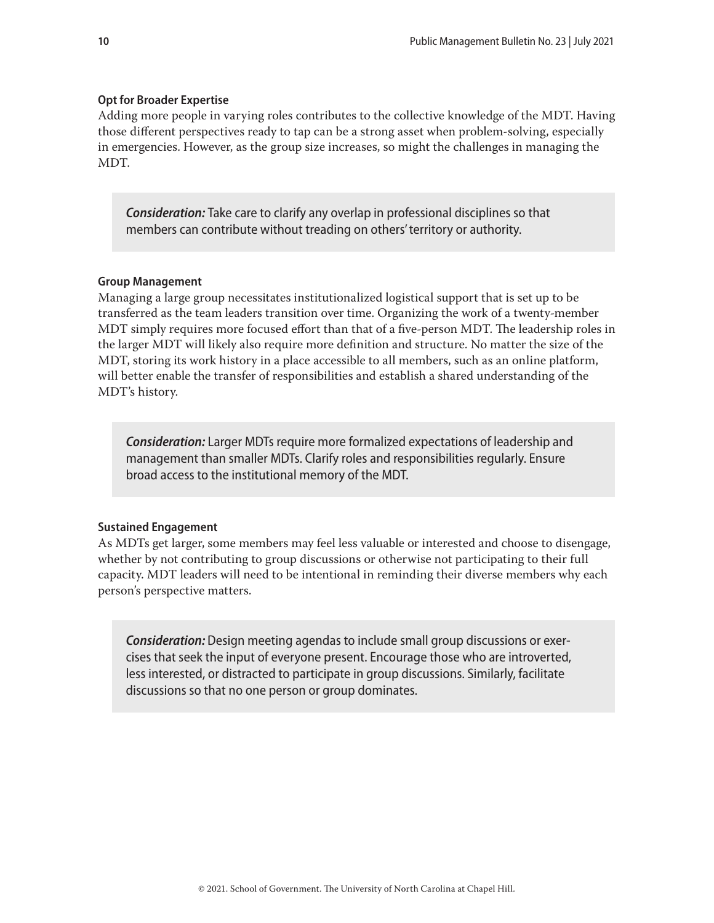## <span id="page-9-0"></span>**Opt for Broader Expertise**

Adding more people in varying roles contributes to the collective knowledge of the MDT. Having those different perspectives ready to tap can be a strong asset when problem-solving, especially in emergencies. However, as the group size increases, so might the challenges in managing the MDT.

*Consideration:* Take care to clarify any overlap in professional disciplines so that members can contribute without treading on others' territory or authority.

#### **Group Management**

Managing a large group necessitates institutionalized logistical support that is set up to be transferred as the team leaders transition over time. Organizing the work of a twenty-member MDT simply requires more focused effort than that of a five-person MDT. The leadership roles in the larger MDT will likely also require more definition and structure. No matter the size of the MDT, storing its work history in a place accessible to all members, such as an online platform, will better enable the transfer of responsibilities and establish a shared understanding of the MDT's history.

*Consideration:* Larger MDTs require more formalized expectations of leadership and management than smaller MDTs. Clarify roles and responsibilities regularly. Ensure broad access to the institutional memory of the MDT.

#### **Sustained Engagement**

As MDTs get larger, some members may feel less valuable or interested and choose to disengage, whether by not contributing to group discussions or otherwise not participating to their full capacity. MDT leaders will need to be intentional in reminding their diverse members why each person's perspective matters.

*Consideration:* Design meeting agendas to include small group discussions or exercises that seek the input of everyone present. Encourage those who are introverted, less interested, or distracted to participate in group discussions. Similarly, facilitate discussions so that no one person or group dominates.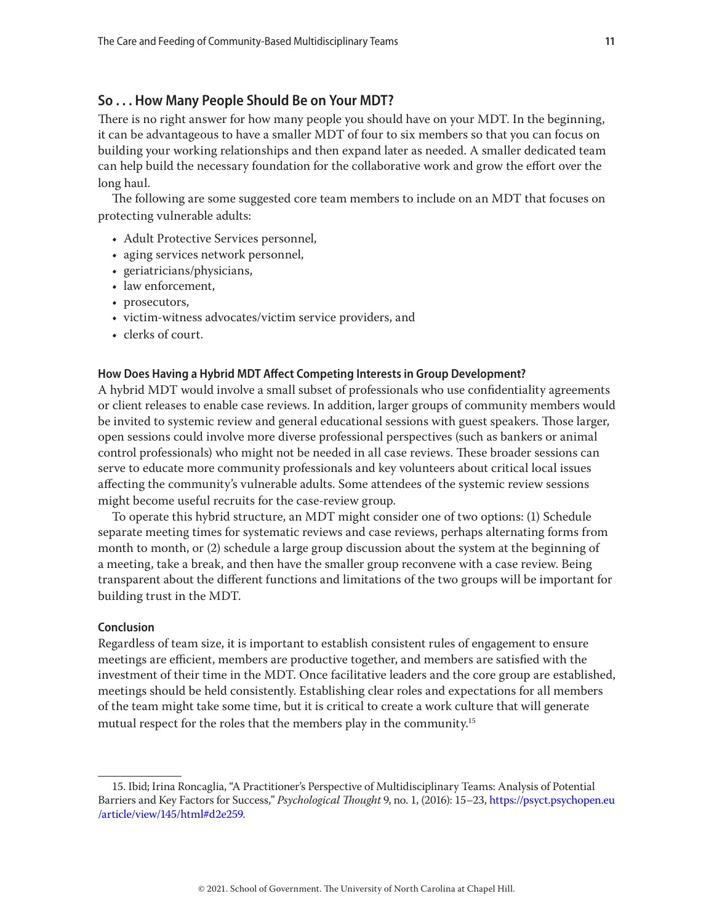## <span id="page-10-0"></span>**So . . . How Many People Should Be on Your MDT?**

There is no right answer for how many people you should have on your MDT. In the beginning, it can be advantageous to have a smaller MDT of four to six members so that you can focus on building your working relationships and then expand later as needed. A smaller dedicated team can help build the necessary foundation for the collaborative work and grow the effort over the long haul.

The following are some suggested core team members to include on an MDT that focuses on protecting vulnerable adults:

- Adult Protective Services personnel,
- aging services network personnel,
- geriatricians/physicians,
- law enforcement,
- prosecutors,
- victim-witness advocates/victim service providers, and
- clerks of court.

#### **How Does Having a Hybrid MDT Affect Competing Interests in Group Development?**

A hybrid MDT would involve a small subset of professionals who use confidentiality agreements or client releases to enable case reviews. In addition, larger groups of community members would be invited to systemic review and general educational sessions with guest speakers. Those larger, open sessions could involve more diverse professional perspectives (such as bankers or animal control professionals) who might not be needed in all case reviews. These broader sessions can serve to educate more community professionals and key volunteers about critical local issues affecting the community's vulnerable adults. Some attendees of the systemic review sessions might become useful recruits for the case-review group.

To operate this hybrid structure, an MDT might consider one of two options: (1) Schedule separate meeting times for systematic reviews and case reviews, perhaps alternating forms from month to month, or (2) schedule a large group discussion about the system at the beginning of a meeting, take a break, and then have the smaller group reconvene with a case review. Being transparent about the different functions and limitations of the two groups will be important for building trust in the MDT.

#### **Conclusion**

Regardless of team size, it is important to establish consistent rules of engagement to ensure meetings are efficient, members are productive together, and members are satisfied with the investment of their time in the MDT. Once facilitative leaders and the core group are established, meetings should be held consistently. Establishing clear roles and expectations for all members of the team might take some time, but it is critical to create a work culture that will generate mutual respect for the roles that the members play in the community.15

<sup>15.</sup> Ibid; Irina Roncaglia, "A Practitioner's Perspective of Multidisciplinary Teams: Analysis of Potential Barriers and Key Factors for Success," *Psychological Thought* 9, no. 1, (2016): 15–23, [https://psyct.psychopen.eu](https://psyct.psychopen.eu/article/view/145/html#d2e259) [/article/view/145/html#d2e259](https://psyct.psychopen.eu/article/view/145/html#d2e259).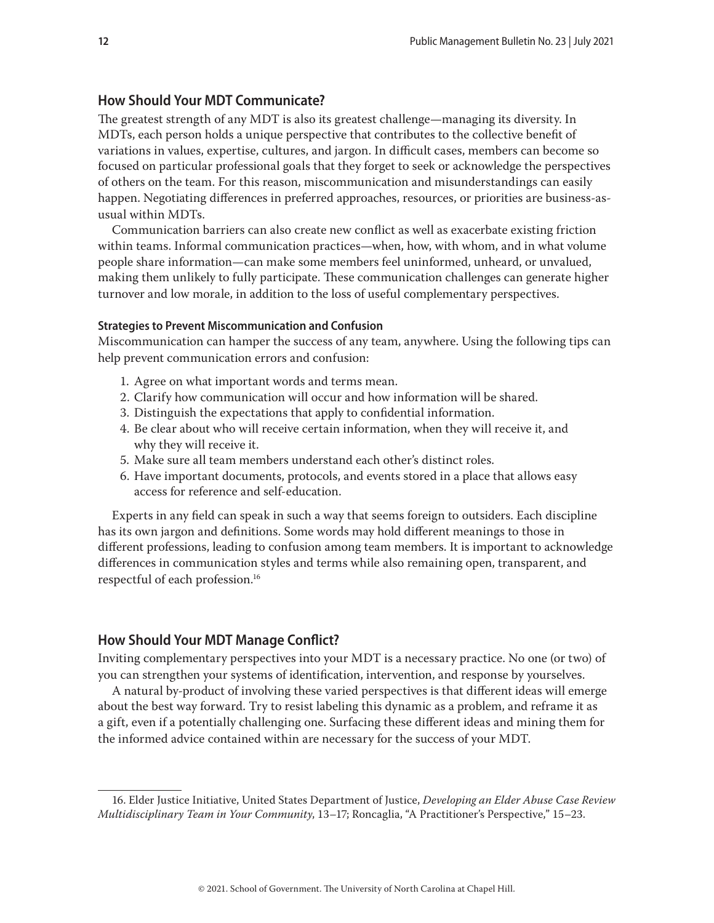## <span id="page-11-0"></span>**How Should Your MDT Communicate?**

The greatest strength of any MDT is also its greatest challenge—managing its diversity. In MDTs, each person holds a unique perspective that contributes to the collective benefit of variations in values, expertise, cultures, and jargon. In difficult cases, members can become so focused on particular professional goals that they forget to seek or acknowledge the perspectives of others on the team. For this reason, miscommunication and misunderstandings can easily happen. Negotiating differences in preferred approaches, resources, or priorities are business-asusual within MDTs.

Communication barriers can also create new conflict as well as exacerbate existing friction within teams. Informal communication practices—when, how, with whom, and in what volume people share information—can make some members feel uninformed, unheard, or unvalued, making them unlikely to fully participate. These communication challenges can generate higher turnover and low morale, in addition to the loss of useful complementary perspectives.

#### **Strategies to Prevent Miscommunication and Confusion**

Miscommunication can hamper the success of any team, anywhere. Using the following tips can help prevent communication errors and confusion:

- 1. Agree on what important words and terms mean.
- 2. Clarify how communication will occur and how information will be shared.
- 3. Distinguish the expectations that apply to confidential information.
- 4. Be clear about who will receive certain information, when they will receive it, and why they will receive it.
- 5. Make sure all team members understand each other's distinct roles.
- 6. Have important documents, protocols, and events stored in a place that allows easy access for reference and self-education.

Experts in any field can speak in such a way that seems foreign to outsiders. Each discipline has its own jargon and definitions. Some words may hold different meanings to those in different professions, leading to confusion among team members. It is important to acknowledge differences in communication styles and terms while also remaining open, transparent, and respectful of each profession.16

# **How Should Your MDT Manage Conflict?**

Inviting complementary perspectives into your MDT is a necessary practice. No one (or two) of you can strengthen your systems of identification, intervention, and response by yourselves.

A natural by-product of involving these varied perspectives is that different ideas will emerge about the best way forward. Try to resist labeling this dynamic as a problem, and reframe it as a gift, even if a potentially challenging one. Surfacing these different ideas and mining them for the informed advice contained within are necessary for the success of your MDT.

<sup>16.</sup> Elder Justice Initiative, United States Department of Justice, *Developing an Elder Abuse Case Review Multidisciplinary Team in Your Community*, 13–17; Roncaglia, "A Practitioner's Perspective," 15–23.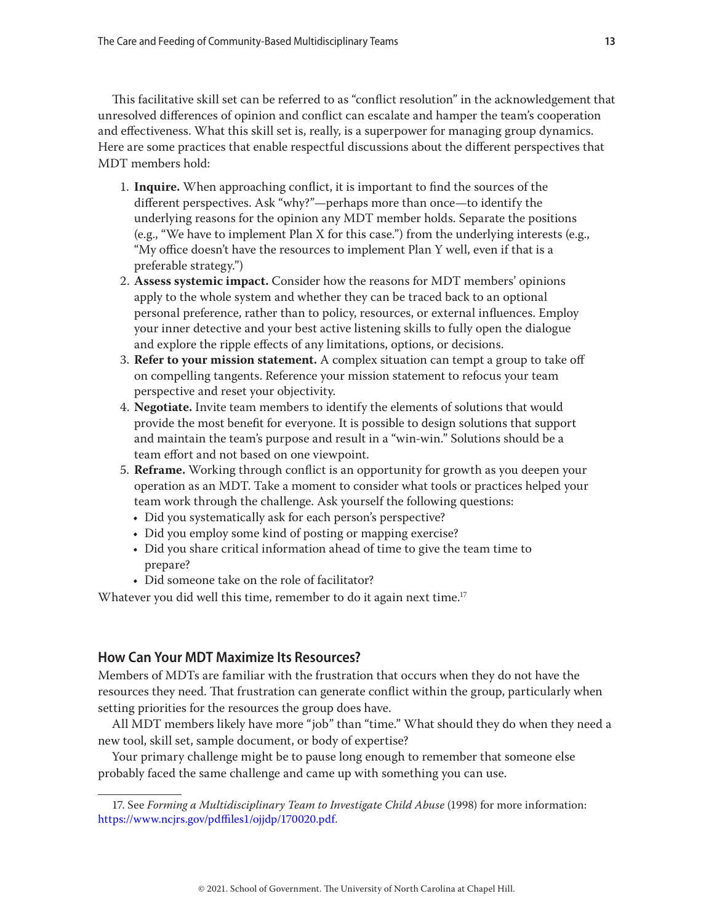<span id="page-12-0"></span>This facilitative skill set can be referred to as "conflict resolution" in the acknowledgement that unresolved differences of opinion and conflict can escalate and hamper the team's cooperation and effectiveness. What this skill set is, really, is a superpower for managing group dynamics. Here are some practices that enable respectful discussions about the different perspectives that MDT members hold:

- 1. **Inquire.** When approaching conflict, it is important to find the sources of the different perspectives. Ask "why?"—perhaps more than once—to identify the underlying reasons for the opinion any MDT member holds. Separate the positions (e.g., "We have to implement Plan X for this case.") from the underlying interests (e.g., "My office doesn't have the resources to implement Plan Y well, even if that is a preferable strategy.")
- 2. **Assess systemic impact.** Consider how the reasons for MDT members' opinions apply to the whole system and whether they can be traced back to an optional personal preference, rather than to policy, resources, or external influences. Employ your inner detective and your best active listening skills to fully open the dialogue and explore the ripple effects of any limitations, options, or decisions.
- 3. **Refer to your mission statement.** A complex situation can tempt a group to take off on compelling tangents. Reference your mission statement to refocus your team perspective and reset your objectivity.
- 4. **Negotiate.** Invite team members to identify the elements of solutions that would provide the most benefit for everyone. It is possible to design solutions that support and maintain the team's purpose and result in a "win-win." Solutions should be a team effort and not based on one viewpoint.
- 5. **Reframe.** Working through conflict is an opportunity for growth as you deepen your operation as an MDT. Take a moment to consider what tools or practices helped your team work through the challenge. Ask yourself the following questions:
	- Did you systematically ask for each person's perspective?
	- Did you employ some kind of posting or mapping exercise?
	- Did you share critical information ahead of time to give the team time to prepare?
	- Did someone take on the role of facilitator?

Whatever you did well this time, remember to do it again next time.<sup>17</sup>

# **How Can Your MDT Maximize Its Resources?**

Members of MDTs are familiar with the frustration that occurs when they do not have the resources they need. That frustration can generate conflict within the group, particularly when setting priorities for the resources the group does have.

All MDT members likely have more "job" than "time." What should they do when they need a new tool, skill set, sample document, or body of expertise?

Your primary challenge might be to pause long enough to remember that someone else probably faced the same challenge and came up with something you can use.

<sup>17.</sup> See *Forming a Multidisciplinary Team to Investigate Child Abuse* (1998) for more information: <https://www.ncjrs.gov/pdffiles1/ojjdp/170020.pdf>.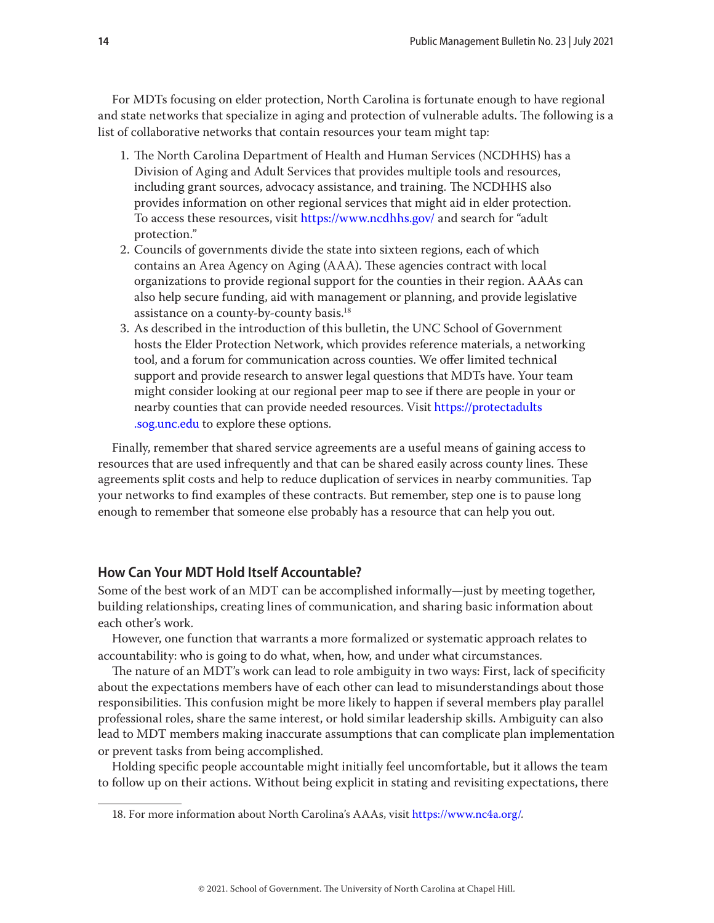<span id="page-13-0"></span>For MDTs focusing on elder protection, North Carolina is fortunate enough to have regional and state networks that specialize in aging and protection of vulnerable adults. The following is a list of collaborative networks that contain resources your team might tap:

- 1. The North Carolina Department of Health and Human Services (NCDHHS) has a Division of Aging and Adult Services that provides multiple tools and resources, including grant sources, advocacy assistance, and training. The NCDHHS also provides information on other regional services that might aid in elder protection. To access these resources, visit<https://www.ncdhhs.gov/>and search for "adult protection."
- 2. Councils of governments divide the state into sixteen regions, each of which contains an Area Agency on Aging (AAA). These agencies contract with local organizations to provide regional support for the counties in their region. AAAs can also help secure funding, aid with management or planning, and provide legislative assistance on a county-by-county basis.18
- 3. As described in the introduction of this bulletin, the UNC School of Government hosts the Elder Protection Network, which provides reference materials, a networking tool, and a forum for communication across counties. We offer limited technical support and provide research to answer legal questions that MDTs have. Your team might consider looking at our regional peer map to see if there are people in your or nearby counties that can provide needed resources. Visit [https://protectadults](https://protectadults.sog.unc.edu) [.sog.unc.edu](https://protectadults.sog.unc.edu) to explore these options.

Finally, remember that shared service agreements are a useful means of gaining access to resources that are used infrequently and that can be shared easily across county lines. These agreements split costs and help to reduce duplication of services in nearby communities. Tap your networks to find examples of these contracts. But remember, step one is to pause long enough to remember that someone else probably has a resource that can help you out.

# **How Can Your MDT Hold Itself Accountable?**

Some of the best work of an MDT can be accomplished informally—just by meeting together, building relationships, creating lines of communication, and sharing basic information about each other's work.

However, one function that warrants a more formalized or systematic approach relates to accountability: who is going to do what, when, how, and under what circumstances.

The nature of an MDT's work can lead to role ambiguity in two ways: First, lack of specificity about the expectations members have of each other can lead to misunderstandings about those responsibilities. This confusion might be more likely to happen if several members play parallel professional roles, share the same interest, or hold similar leadership skills. Ambiguity can also lead to MDT members making inaccurate assumptions that can complicate plan implementation or prevent tasks from being accomplished.

Holding specific people accountable might initially feel uncomfortable, but it allows the team to follow up on their actions. Without being explicit in stating and revisiting expectations, there

<sup>18.</sup> For more information about North Carolina's AAAs, visit [https://www.nc4a.org/.](https://www.nc4a.org/)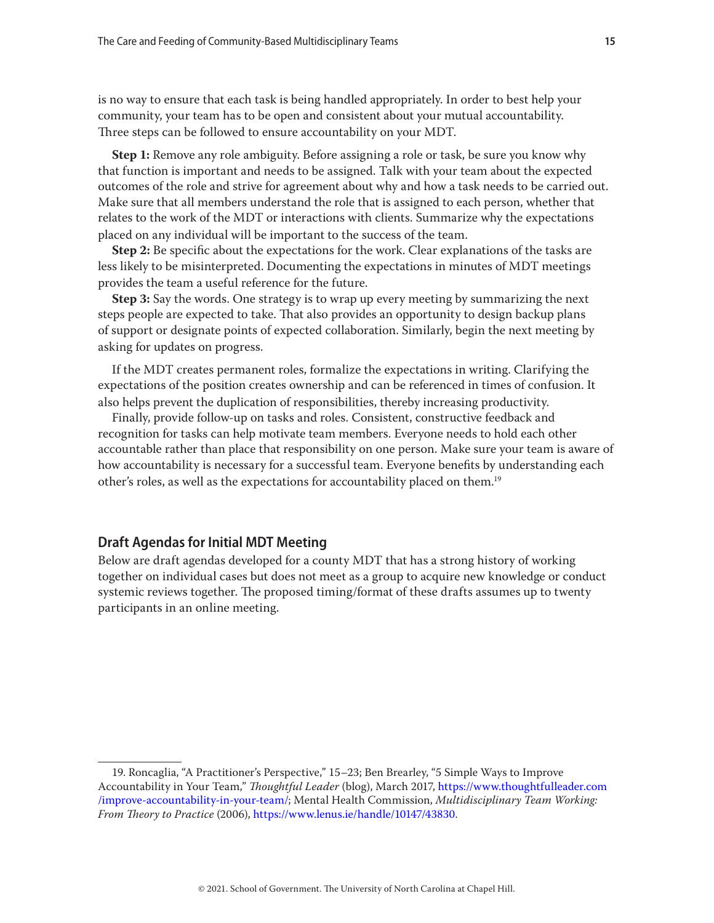<span id="page-14-0"></span>is no way to ensure that each task is being handled appropriately. In order to best help your community, your team has to be open and consistent about your mutual accountability. Three steps can be followed to ensure accountability on your MDT.

**Step 1:** Remove any role ambiguity. Before assigning a role or task, be sure you know why that function is important and needs to be assigned. Talk with your team about the expected outcomes of the role and strive for agreement about why and how a task needs to be carried out. Make sure that all members understand the role that is assigned to each person, whether that relates to the work of the MDT or interactions with clients. Summarize why the expectations placed on any individual will be important to the success of the team.

**Step 2:** Be specific about the expectations for the work. Clear explanations of the tasks are less likely to be misinterpreted. Documenting the expectations in minutes of MDT meetings provides the team a useful reference for the future.

**Step 3:** Say the words. One strategy is to wrap up every meeting by summarizing the next steps people are expected to take. That also provides an opportunity to design backup plans of support or designate points of expected collaboration. Similarly, begin the next meeting by asking for updates on progress.

If the MDT creates permanent roles, formalize the expectations in writing. Clarifying the expectations of the position creates ownership and can be referenced in times of confusion. It also helps prevent the duplication of responsibilities, thereby increasing productivity.

Finally, provide follow-up on tasks and roles. Consistent, constructive feedback and recognition for tasks can help motivate team members. Everyone needs to hold each other accountable rather than place that responsibility on one person. Make sure your team is aware of how accountability is necessary for a successful team. Everyone benefits by understanding each other's roles, as well as the expectations for accountability placed on them.19

# **Draft Agendas for Initial MDT Meeting**

Below are draft agendas developed for a county MDT that has a strong history of working together on individual cases but does not meet as a group to acquire new knowledge or conduct systemic reviews together. The proposed timing/format of these drafts assumes up to twenty participants in an online meeting.

<sup>19.</sup> Roncaglia, "A Practitioner's Perspective," 15–23; Ben Brearley, "5 Simple Ways to Improve Accountability in Your Team," *Thoughtful Leader* (blog), March 2017, [https://www.thoughtfulleader.com](https://www.thoughtfulleader.com/improve-accountability-in-your-team/) [/improve-accountability-in-your-team/](https://www.thoughtfulleader.com/improve-accountability-in-your-team/); Mental Health Commission, *Multidisciplinary Team Working: From Theory to Practice* (2006),<https://www.lenus.ie/handle/10147/43830>.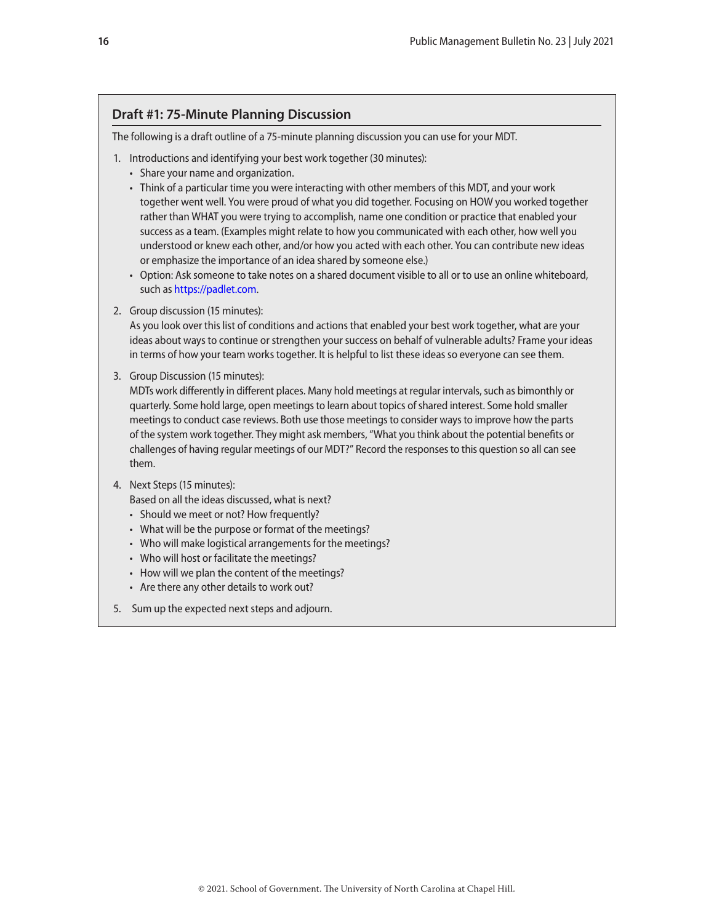# **Draft #1: 75-Minute Planning Discussion**

The following is a draft outline of a 75-minute planning discussion you can use for your MDT.

- 1. Introductions and identifying your best work together (30 minutes):
	- Share your name and organization.
	- Think of a particular time you were interacting with other members of this MDT, and your work together went well. You were proud of what you did together. Focusing on HOW you worked together rather than WHAT you were trying to accomplish, name one condition or practice that enabled your success as a team. (Examples might relate to how you communicated with each other, how well you understood or knew each other, and/or how you acted with each other. You can contribute new ideas or emphasize the importance of an idea shared by someone else.)
	- Option: Ask someone to take notes on a shared document visible to all or to use an online whiteboard, such as [https://padlet.com.](https://padlet.com)
- 2. Group discussion (15 minutes):

As you look over this list of conditions and actions that enabled your best work together, what are your ideas about ways to continue or strengthen your success on behalf of vulnerable adults? Frame your ideas in terms of how your team works together. It is helpful to list these ideas so everyone can see them.

3. Group Discussion (15 minutes):

MDTs work differently in different places. Many hold meetings at regular intervals, such as bimonthly or quarterly. Some hold large, open meetings to learn about topics of shared interest. Some hold smaller meetings to conduct case reviews. Both use those meetings to consider ways to improve how the parts of the system work together. They might ask members, "What you think about the potential benefits or challenges of having regular meetings of our MDT?" Record the responses to this question so all can see them.

- 4. Next Steps (15 minutes):
	- Based on all the ideas discussed, what is next?
	- Should we meet or not? How frequently?
	- What will be the purpose or format of the meetings?
	- Who will make logistical arrangements for the meetings?
	- Who will host or facilitate the meetings?
	- How will we plan the content of the meetings?
	- Are there any other details to work out?
- 5. Sum up the expected next steps and adjourn.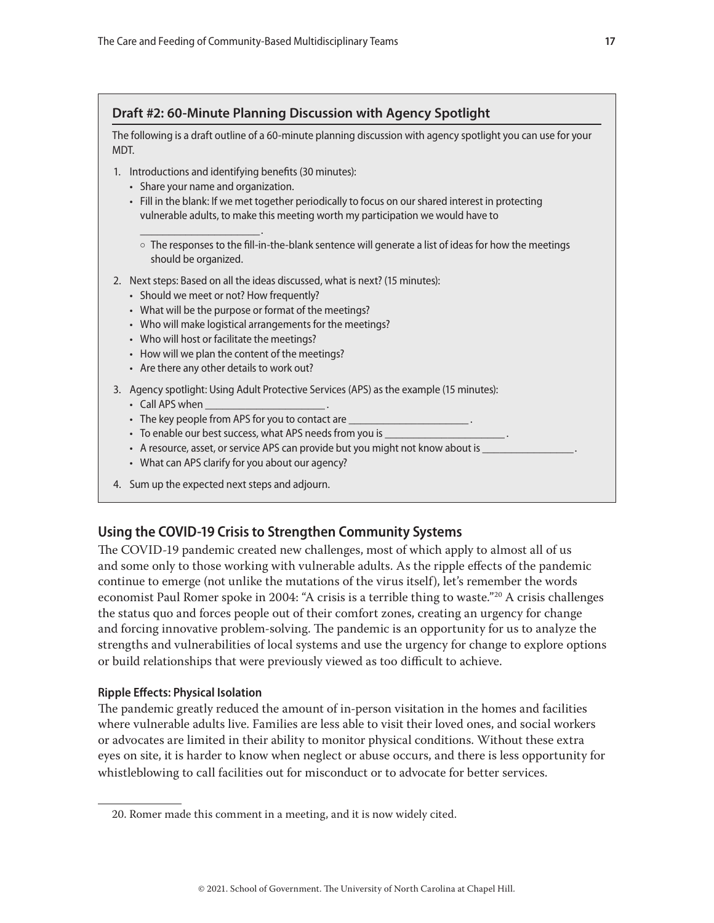# <span id="page-16-0"></span>**Draft #2: 60-Minute Planning Discussion with Agency Spotlight**

The following is a draft outline of a 60-minute planning discussion with agency spotlight you can use for your MDT.

- 1. Introductions and identifying benefits (30 minutes):
	- Share your name and organization.

 $\frac{1}{2}$  . The set of the set of the set of the set of the set of the set of the set of the set of the set of the set of the set of the set of the set of the set of the set of the set of the set of the set of the set of

- Fill in the blank: If we met together periodically to focus on our shared interest in protecting vulnerable adults, to make this meeting worth my participation we would have to
	- $\circ$  The responses to the fill-in-the-blank sentence will generate a list of ideas for how the meetings should be organized.
- 2. Next steps: Based on all the ideas discussed, what is next? (15 minutes):
	- Should we meet or not? How frequently?
	- What will be the purpose or format of the meetings?
	- Who will make logistical arrangements for the meetings?
	- Who will host or facilitate the meetings?
	- How will we plan the content of the meetings?
	- Are there any other details to work out?
- 3. Agency spotlight: Using Adult Protective Services (APS) as the example (15 minutes):
	- Call APS when
	- The key people from APS for you to contact are
	- To enable our best success, what APS needs from you is
	- A resource, asset, or service APS can provide but you might not know about is \_
	- What can APS clarify for you about our agency?
- 4. Sum up the expected next steps and adjourn.

# **Using the COVID-19 Crisis to Strengthen Community Systems**

The COVID-19 pandemic created new challenges, most of which apply to almost all of us and some only to those working with vulnerable adults. As the ripple effects of the pandemic continue to emerge (not unlike the mutations of the virus itself), let's remember the words economist Paul Romer spoke in 2004: "A crisis is a terrible thing to waste."20 A crisis challenges the status quo and forces people out of their comfort zones, creating an urgency for change and forcing innovative problem-solving. The pandemic is an opportunity for us to analyze the strengths and vulnerabilities of local systems and use the urgency for change to explore options or build relationships that were previously viewed as too difficult to achieve.

## **Ripple Effects: Physical Isolation**

The pandemic greatly reduced the amount of in-person visitation in the homes and facilities where vulnerable adults live. Families are less able to visit their loved ones, and social workers or advocates are limited in their ability to monitor physical conditions. Without these extra eyes on site, it is harder to know when neglect or abuse occurs, and there is less opportunity for whistleblowing to call facilities out for misconduct or to advocate for better services.

<sup>20.</sup> Romer made this comment in a meeting, and it is now widely cited.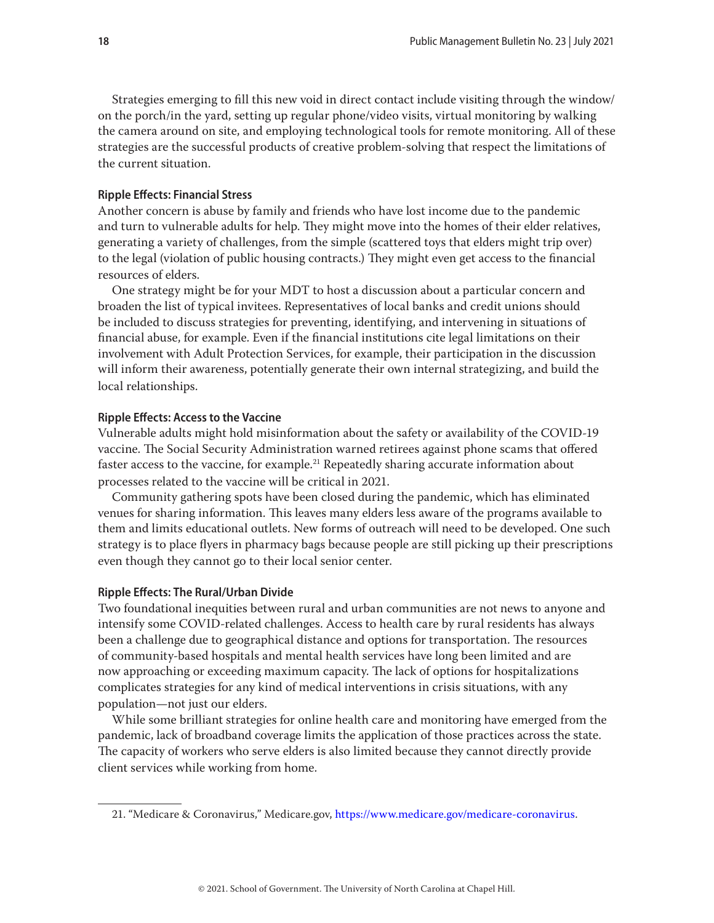<span id="page-17-0"></span>Strategies emerging to fill this new void in direct contact include visiting through the window/ on the porch/in the yard, setting up regular phone/video visits, virtual monitoring by walking the camera around on site, and employing technological tools for remote monitoring. All of these strategies are the successful products of creative problem-solving that respect the limitations of the current situation.

#### **Ripple Effects: Financial Stress**

Another concern is abuse by family and friends who have lost income due to the pandemic and turn to vulnerable adults for help. They might move into the homes of their elder relatives, generating a variety of challenges, from the simple (scattered toys that elders might trip over) to the legal (violation of public housing contracts.) They might even get access to the financial resources of elders.

One strategy might be for your MDT to host a discussion about a particular concern and broaden the list of typical invitees. Representatives of local banks and credit unions should be included to discuss strategies for preventing, identifying, and intervening in situations of financial abuse, for example. Even if the financial institutions cite legal limitations on their involvement with Adult Protection Services, for example, their participation in the discussion will inform their awareness, potentially generate their own internal strategizing, and build the local relationships.

#### **Ripple Effects: Access to the Vaccine**

Vulnerable adults might hold misinformation about the safety or availability of the COVID-19 vaccine. The Social Security Administration warned retirees against phone scams that offered faster access to the vaccine, for example.21 Repeatedly sharing accurate information about processes related to the vaccine will be critical in 2021.

Community gathering spots have been closed during the pandemic, which has eliminated venues for sharing information. This leaves many elders less aware of the programs available to them and limits educational outlets. New forms of outreach will need to be developed. One such strategy is to place flyers in pharmacy bags because people are still picking up their prescriptions even though they cannot go to their local senior center.

#### **Ripple Effects: The Rural/Urban Divide**

Two foundational inequities between rural and urban communities are not news to anyone and intensify some COVID-related challenges. Access to health care by rural residents has always been a challenge due to geographical distance and options for transportation. The resources of community-based hospitals and mental health services have long been limited and are now approaching or exceeding maximum capacity. The lack of options for hospitalizations complicates strategies for any kind of medical interventions in crisis situations, with any population—not just our elders.

While some brilliant strategies for online health care and monitoring have emerged from the pandemic, lack of broadband coverage limits the application of those practices across the state. The capacity of workers who serve elders is also limited because they cannot directly provide client services while working from home.

<sup>21. &</sup>quot;Medicare & Coronavirus," Medicare.gov,<https://www.medicare.gov/medicare-coronavirus>.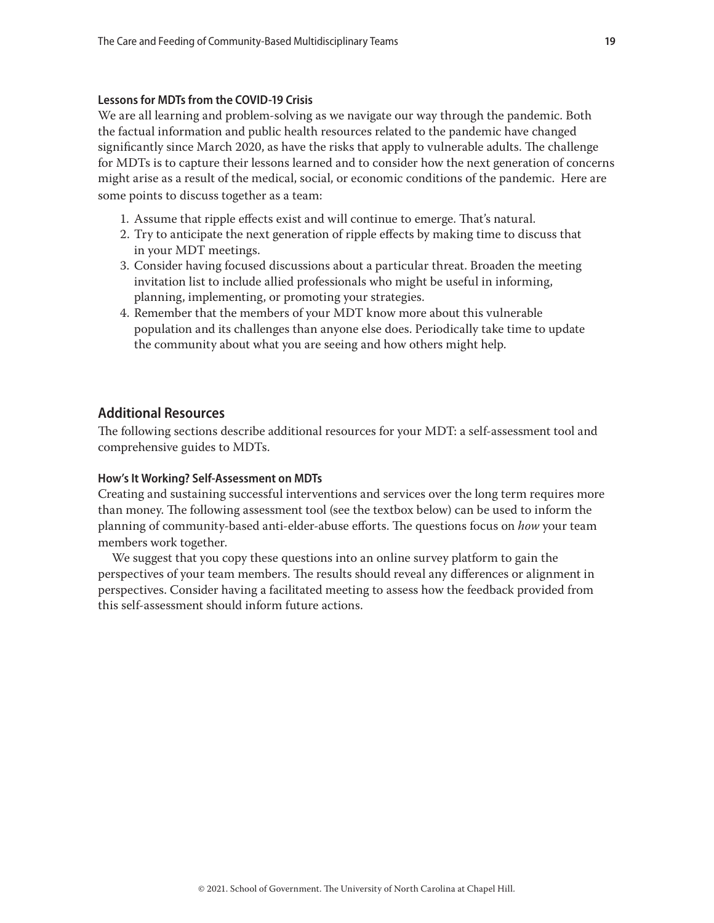#### <span id="page-18-0"></span>**Lessons for MDTs from the COVID-19 Crisis**

We are all learning and problem-solving as we navigate our way through the pandemic. Both the factual information and public health resources related to the pandemic have changed significantly since March 2020, as have the risks that apply to vulnerable adults. The challenge for MDTs is to capture their lessons learned and to consider how the next generation of concerns might arise as a result of the medical, social, or economic conditions of the pandemic. Here are some points to discuss together as a team:

- 1. Assume that ripple effects exist and will continue to emerge. That's natural.
- 2. Try to anticipate the next generation of ripple effects by making time to discuss that in your MDT meetings.
- 3. Consider having focused discussions about a particular threat. Broaden the meeting invitation list to include allied professionals who might be useful in informing, planning, implementing, or promoting your strategies.
- 4. Remember that the members of your MDT know more about this vulnerable population and its challenges than anyone else does. Periodically take time to update the community about what you are seeing and how others might help.

# **Additional Resources**

The following sections describe additional resources for your MDT: a self-assessment tool and comprehensive guides to MDTs.

### **How's It Working? Self-Assessment on MDTs**

Creating and sustaining successful interventions and services over the long term requires more than money. The following assessment tool (see the textbox below) can be used to inform the planning of community-based anti-elder-abuse efforts. The questions focus on *how* your team members work together.

We suggest that you copy these questions into an online survey platform to gain the perspectives of your team members. The results should reveal any differences or alignment in perspectives. Consider having a facilitated meeting to assess how the feedback provided from this self-assessment should inform future actions.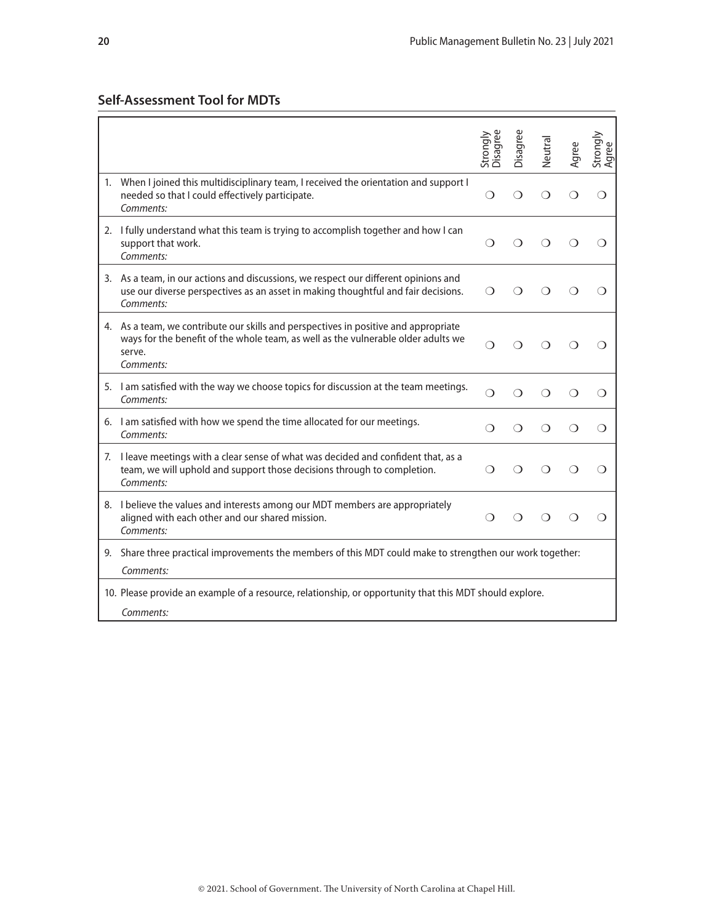|                                                                                                                                                                                                 | Disagree<br>Strongly | Disagree   | Neutral    | Agree | Strongly<br>Agree |  |  |
|-------------------------------------------------------------------------------------------------------------------------------------------------------------------------------------------------|----------------------|------------|------------|-------|-------------------|--|--|
| When I joined this multidisciplinary team, I received the orientation and support I<br>needed so that I could effectively participate.<br>Comments:                                             | ∩                    | ∩          | ∩          |       | ∩                 |  |  |
| 2. I fully understand what this team is trying to accomplish together and how I can<br>support that work.<br>Comments:                                                                          | ∩                    | ∩          | ∩          | ∩     | ∩                 |  |  |
| 3. As a team, in our actions and discussions, we respect our different opinions and<br>use our diverse perspectives as an asset in making thoughtful and fair decisions.<br>Comments:           | $\Omega$             | ∩          | ∩          | ∩     | ∩                 |  |  |
| 4. As a team, we contribute our skills and perspectives in positive and appropriate<br>ways for the benefit of the whole team, as well as the vulnerable older adults we<br>serve.<br>Comments: | ∩                    | ∩          | ∩          |       | ∩                 |  |  |
| 5. I am satisfied with the way we choose topics for discussion at the team meetings.<br>Comments:                                                                                               | $\bigcirc$           | $\bigcirc$ | $\bigcirc$ | ∩     | ∩                 |  |  |
| 6. I am satisfied with how we spend the time allocated for our meetings.<br>Comments:                                                                                                           | ∩                    | ∩          | ∩          | ∩     | ◯                 |  |  |
| 7. I leave meetings with a clear sense of what was decided and confident that, as a<br>team, we will uphold and support those decisions through to completion.<br>Comments:                     | $\bigcirc$           | ∩          | ∩          | ∩     | ∩                 |  |  |
| 8. I believe the values and interests among our MDT members are appropriately<br>aligned with each other and our shared mission.<br>Comments:                                                   | ∩                    | ∩          | ◯          |       | ∩                 |  |  |
| 9. Share three practical improvements the members of this MDT could make to strengthen our work together:<br>Comments:                                                                          |                      |            |            |       |                   |  |  |
| 10. Please provide an example of a resource, relationship, or opportunity that this MDT should explore.<br>Comments:                                                                            |                      |            |            |       |                   |  |  |